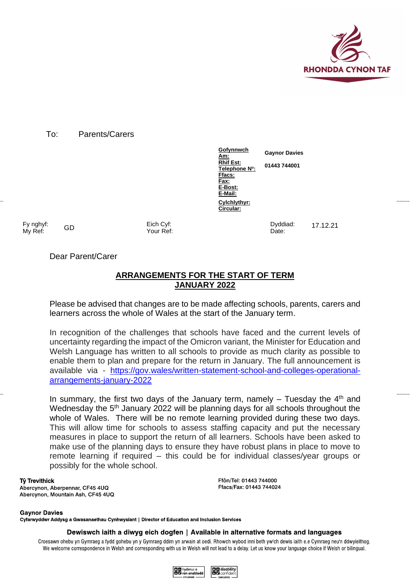

#### To: Parents/Carers

**Gofynnwch Am: Please Ask Rhif Est: For: Telephone N<sup>o</sup> : Gaynor Davies 01443 744001 Ffacs: Fax: E-Bost: E-Mail: Cylchlythyr: Circular:**

Date:

Fy nghyf: My Ref: GD Eich Cyf:

Your Ref:

Dear Parent/Carer

# **ARRANGEMENTS FOR THE START OF TERM JANUARY 2022**

Please be advised that changes are to be made affecting schools, parents, carers and learners across the whole of Wales at the start of the January term.

In recognition of the challenges that schools have faced and the current levels of uncertainty regarding the impact of the Omicron variant, the Minister for Education and Welsh Language has written to all schools to provide as much clarity as possible to enable them to plan and prepare for the return in January. The full announcement is available via - [https://gov.wales/written-statement-school-and-colleges-operational](https://gov.wales/written-statement-school-and-colleges-operational-arrangements-january-2022)[arrangements-january-2022](https://gov.wales/written-statement-school-and-colleges-operational-arrangements-january-2022)

In summary, the first two days of the January term, namely  $-$  Tuesday the  $4<sup>th</sup>$  and Wednesday the 5<sup>th</sup> January 2022 will be planning days for all schools throughout the whole of Wales. There will be no remote learning provided during these two days. This will allow time for schools to assess staffing capacity and put the necessary measures in place to support the return of all learners. Schools have been asked to make use of the planning days to ensure they have robust plans in place to move to remote learning if required – this could be for individual classes/year groups or possibly for the whole school.

#### Tŷ Trevithick

Abercynon, Aberpennar, CF45 4UQ Abercynon, Mountain Ash, CF45 4UQ Ffôn/Tel: 01443 744000 Ffacs/Fax: 01443 744024

**Gavnor Davies** Cyfarwyddwr Addysg a Gwasanaethau Cynhwysiant | Director of Education and Inclusion Services

Dewiswch iaith a diwyg eich dogfen | Available in alternative formats and languages

Croesawn ohebu yn Gymraeg a fydd gohebu yn y Gymraeg ddim yn arwain at oedi. Rhowch wybod inni beth yw'ch dewis iaith e.e Cymraeg neu'n ddwyieithog. We welcome correspondence in Welsh and corresponding with us in Welsh will not lead to a delay. Let us know your language choice if Welsh or bilingual.



Dyddiad: 17.12.21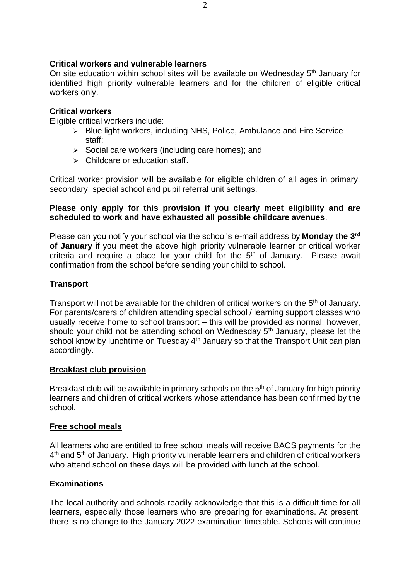#### **Critical workers and vulnerable learners**

On site education within school sites will be available on Wednesday 5<sup>th</sup> January for identified high priority vulnerable learners and for the children of eligible critical workers only.

#### **Critical workers**

Eligible critical workers include:

- ➢ Blue light workers, including NHS, Police, Ambulance and Fire Service staff;
- $\geq$  Social care workers (including care homes); and
- $\triangleright$  Childcare or education staff.

Critical worker provision will be available for eligible children of all ages in primary, secondary, special school and pupil referral unit settings.

## **Please only apply for this provision if you clearly meet eligibility and are scheduled to work and have exhausted all possible childcare avenues**.

Please can you notify your school via the school's e-mail address by **Monday the 3rd of January** if you meet the above high priority vulnerable learner or critical worker criteria and require a place for your child for the  $5<sup>th</sup>$  of January. Please await confirmation from the school before sending your child to school.

# **Transport**

Transport will not be available for the children of critical workers on the 5<sup>th</sup> of January. For parents/carers of children attending special school / learning support classes who usually receive home to school transport – this will be provided as normal, however, should your child not be attending school on Wednesday 5<sup>th</sup> January, please let the school know by lunchtime on Tuesday  $4<sup>th</sup>$  January so that the Transport Unit can plan accordingly.

## **Breakfast club provision**

Breakfast club will be available in primary schools on the  $5<sup>th</sup>$  of January for high priority learners and children of critical workers whose attendance has been confirmed by the school.

## **Free school meals**

All learners who are entitled to free school meals will receive BACS payments for the 4<sup>th</sup> and 5<sup>th</sup> of January. High priority vulnerable learners and children of critical workers who attend school on these days will be provided with lunch at the school.

#### **Examinations**

The local authority and schools readily acknowledge that this is a difficult time for all learners, especially those learners who are preparing for examinations. At present, there is no change to the January 2022 examination timetable. Schools will continue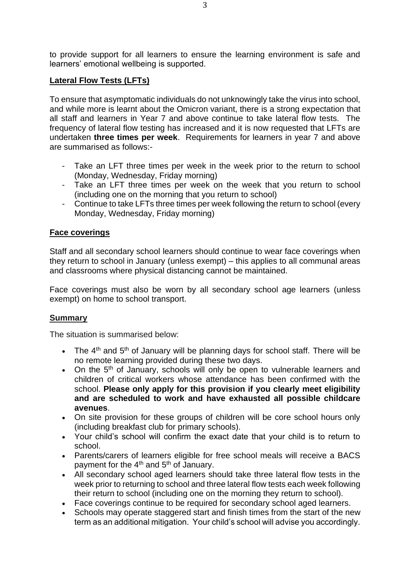to provide support for all learners to ensure the learning environment is safe and learners' emotional wellbeing is supported.

# **Lateral Flow Tests (LFTs)**

To ensure that asymptomatic individuals do not unknowingly take the virus into school, and while more is learnt about the Omicron variant, there is a strong expectation that all staff and learners in Year 7 and above continue to take lateral flow tests. The frequency of lateral flow testing has increased and it is now requested that LFTs are undertaken **three times per week**. Requirements for learners in year 7 and above are summarised as follows:-

- Take an LFT three times per week in the week prior to the return to school (Monday, Wednesday, Friday morning)
- Take an LFT three times per week on the week that you return to school (including one on the morning that you return to school)
- Continue to take LFTs three times per week following the return to school (every Monday, Wednesday, Friday morning)

## **Face coverings**

Staff and all secondary school learners should continue to wear face coverings when they return to school in January (unless exempt) – this applies to all communal areas and classrooms where physical distancing cannot be maintained.

Face coverings must also be worn by all secondary school age learners (unless exempt) on home to school transport.

## **Summary**

The situation is summarised below:

- The  $4<sup>th</sup>$  and  $5<sup>th</sup>$  of January will be planning days for school staff. There will be no remote learning provided during these two days.
- On the  $5<sup>th</sup>$  of January, schools will only be open to vulnerable learners and children of critical workers whose attendance has been confirmed with the school. **Please only apply for this provision if you clearly meet eligibility and are scheduled to work and have exhausted all possible childcare avenues**.
- On site provision for these groups of children will be core school hours only (including breakfast club for primary schools).
- Your child's school will confirm the exact date that your child is to return to school.
- Parents/carers of learners eligible for free school meals will receive a BACS payment for the  $4<sup>th</sup>$  and  $5<sup>th</sup>$  of January.
- All secondary school aged learners should take three lateral flow tests in the week prior to returning to school and three lateral flow tests each week following their return to school (including one on the morning they return to school).
- Face coverings continue to be required for secondary school aged learners.
- Schools may operate staggered start and finish times from the start of the new term as an additional mitigation. Your child's school will advise you accordingly.